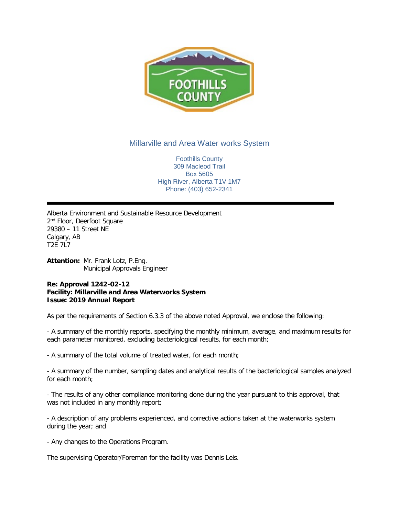

## Millarville and Area Water works System

Foothills County 309 Macleod Trail Box 5605 High River, Alberta T1V 1M7 Phone: (403) 652-2341

Alberta Environment and Sustainable Resource Development 2<sup>nd</sup> Floor, Deerfoot Square 29380 – 11 Street NE Calgary, AB T2E 7L7

**Attention:** Mr. Frank Lotz, P.Eng. Municipal Approvals Engineer

## **Re: Approval 1242-02-12 Facility: Millarville and Area Waterworks System Issue: 2019 Annual Report**

As per the requirements of Section 6.3.3 of the above noted Approval, we enclose the following:

- A summary of the monthly reports, specifying the monthly minimum, average, and maximum results for each parameter monitored, excluding bacteriological results, for each month;

- A summary of the total volume of treated water, for each month;

- A summary of the number, sampling dates and analytical results of the bacteriological samples analyzed for each month;

- The results of any other compliance monitoring done during the year pursuant to this approval, that was not included in any monthly report;

- A description of any problems experienced, and corrective actions taken at the waterworks system during the year; and

- Any changes to the Operations Program.

The supervising Operator/Foreman for the facility was Dennis Leis.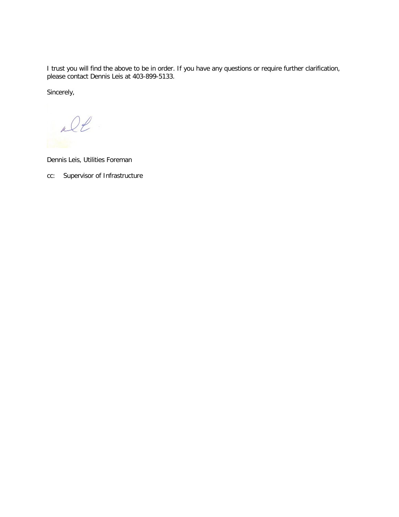I trust you will find the above to be in order. If you have any questions or require further clarification, please contact Dennis Leis at 403-899-5133.

Sincerely,

De

Dennis Leis, Utilities Foreman

cc: Supervisor of Infrastructure